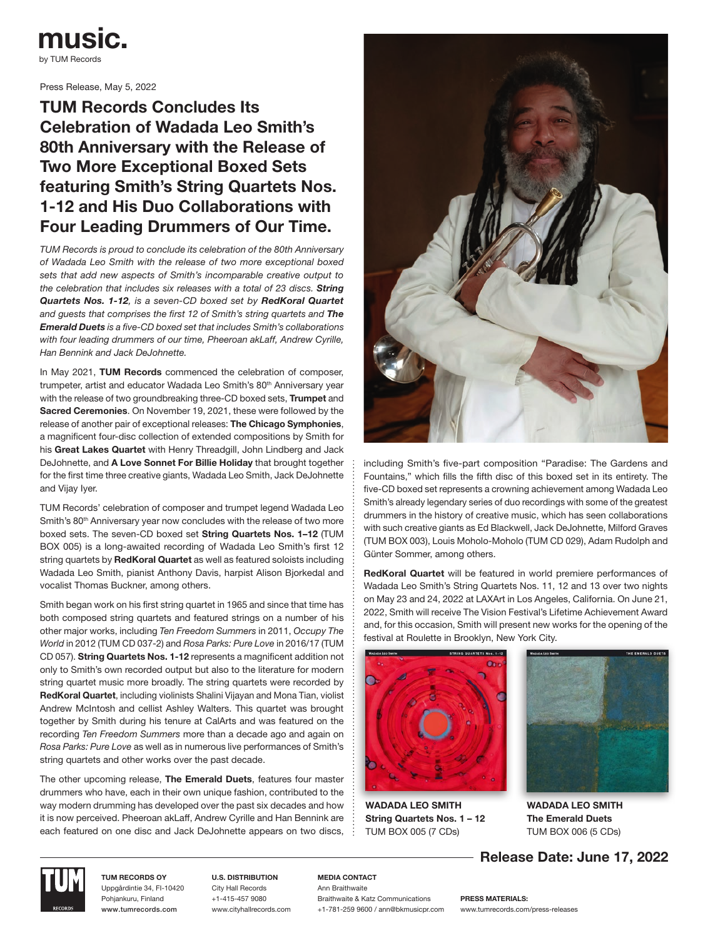music. by TUM Records

Press Release, May 5, 2022

## TUM Records Concludes Its Celebration of Wadada Leo Smith's 80th Anniversary with the Release of Two More Exceptional Boxed Sets featuring Smith's String Quartets Nos. 1-12 and His Duo Collaborations with Four Leading Drummers of Our Time.

*TUM Records is proud to conclude its celebration of the 80th Anniversary of Wadada Leo Smith with the release of two more exceptional boxed sets that add new aspects of Smith's incomparable creative output to the celebration that includes six releases with a total of 23 discs. String Quartets Nos. 1-12, is a seven-CD boxed set by RedKoral Quartet and guests that comprises the first 12 of Smith's string quartets and The Emerald Duets is a five-CD boxed set that includes Smith's collaborations with four leading drummers of our time, Pheeroan akLaff, Andrew Cyrille, Han Bennink and Jack DeJohnette.*

In May 2021, TUM Records commenced the celebration of composer, trumpeter, artist and educator Wadada Leo Smith's 80<sup>th</sup> Anniversary year with the release of two groundbreaking three-CD boxed sets, Trumpet and Sacred Ceremonies. On November 19, 2021, these were followed by the release of another pair of exceptional releases: The Chicago Symphonies, a magnificent four-disc collection of extended compositions by Smith for his Great Lakes Quartet with Henry Threadgill, John Lindberg and Jack DeJohnette, and A Love Sonnet For Billie Holiday that brought together for the first time three creative giants, Wadada Leo Smith, Jack DeJohnette and Vijay Iyer.

TUM Records' celebration of composer and trumpet legend Wadada Leo Smith's 80<sup>th</sup> Anniversary year now concludes with the release of two more boxed sets. The seven-CD boxed set String Quartets Nos. 1–12 (TUM BOX 005) is a long-awaited recording of Wadada Leo Smith's first 12 string quartets by RedKoral Quartet as well as featured soloists including Wadada Leo Smith, pianist Anthony Davis, harpist Alison Bjorkedal and vocalist Thomas Buckner, among others.

Smith began work on his first string quartet in 1965 and since that time has both composed string quartets and featured strings on a number of his other major works, including *Ten Freedom Summers* in 2011, *Occupy The World* in 2012 (TUM CD 037-2) and *Rosa Parks: Pure Love* in 2016/17 (TUM CD 057). String Quartets Nos. 1-12 represents a magnificent addition not only to Smith's own recorded output but also to the literature for modern string quartet music more broadly. The string quartets were recorded by RedKoral Quartet, including violinists Shalini Vijayan and Mona Tian, violist Andrew McIntosh and cellist Ashley Walters. This quartet was brought together by Smith during his tenure at CalArts and was featured on the recording *Ten Freedom Summers* more than a decade ago and again on *Rosa Parks: Pure Love* as well as in numerous live performances of Smith's string quartets and other works over the past decade.

The other upcoming release, The Emerald Duets, features four master drummers who have, each in their own unique fashion, contributed to the way modern drumming has developed over the past six decades and how it is now perceived. Pheeroan akLaff, Andrew Cyrille and Han Bennink are each featured on one disc and Jack DeJohnette appears on two discs,



including Smith's five-part composition "Paradise: The Gardens and Fountains," which fills the fifth disc of this boxed set in its entirety. The five-CD boxed set represents a crowning achievement among Wadada Leo Smith's already legendary series of duo recordings with some of the greatest drummers in the history of creative music, which has seen collaborations with such creative giants as Ed Blackwell, Jack DeJohnette, Milford Graves (TUM BOX 003), Louis Moholo-Moholo (TUM CD 029), Adam Rudolph and Günter Sommer, among others.

RedKoral Quartet will be featured in world premiere performances of Wadada Leo Smith's String Quartets Nos. 11, 12 and 13 over two nights on May 23 and 24, 2022 at LAXArt in Los Angeles, California. On June 21, 2022, Smith will receive The Vision Festival's Lifetime Achievement Award and, for this occasion, Smith will present new works for the opening of the festival at Roulette in Brooklyn, New York City.



WADADA LEO SMITH String Quartets Nos. 1 – 12 TUM BOX 005 (7 CDs)



WADADA LEO SMITH The Emerald Duets TUM BOX 006 (5 CDs)

Release Date: June 17, 2022



TUM RECORDS OY Uppgårdintie 34, FI-10420 Pohjankuru, Finland www.tumrecords.com

U.S. DISTRIBUTION City Hall Records +1-415-457 9080 www.cityhallrecords.com MEDIA CONTACT Ann Braithwaite Braithwaite & Katz Communications +1-781-259 9600 / ann@bkmusicpr.com

PRESS MATERIALS: www.tumrecords.com/press-releases